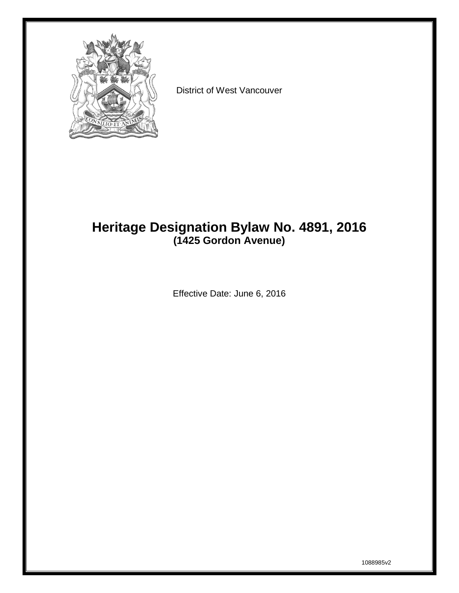

District of West Vancouver

## **Heritage Designation Bylaw No. 4891, 2016 (1425 Gordon Avenue)**

Effective Date: June 6, 2016

1088985v2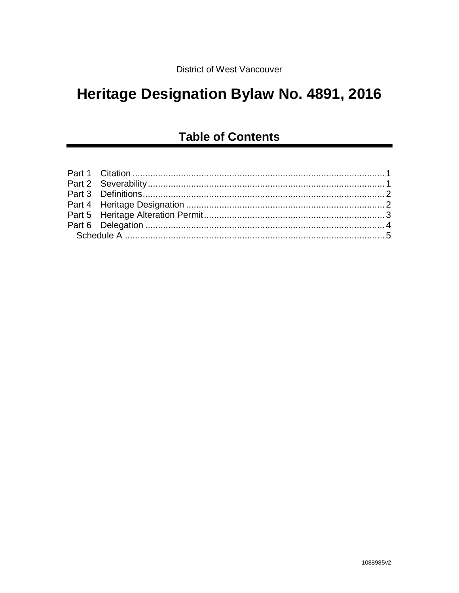# Heritage Designation Bylaw No. 4891, 2016

## **Table of Contents**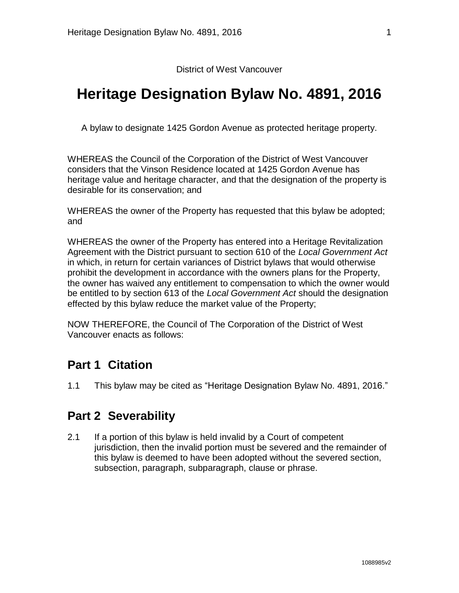District of West Vancouver

## **Heritage Designation Bylaw No. 4891, 2016**

A bylaw to designate 1425 Gordon Avenue as protected heritage property.

WHEREAS the Council of the Corporation of the District of West Vancouver considers that the Vinson Residence located at 1425 Gordon Avenue has heritage value and heritage character, and that the designation of the property is desirable for its conservation; and

WHEREAS the owner of the Property has requested that this bylaw be adopted; and

WHEREAS the owner of the Property has entered into a Heritage Revitalization Agreement with the District pursuant to section 610 of the *Local Government Act*  in which, in return for certain variances of District bylaws that would otherwise prohibit the development in accordance with the owners plans for the Property, the owner has waived any entitlement to compensation to which the owner would be entitled to by section 613 of the *Local Government Act* should the designation effected by this bylaw reduce the market value of the Property;

<span id="page-2-0"></span>NOW THEREFORE, the Council of The Corporation of the District of West Vancouver enacts as follows:

#### **Part 1 Citation**

1.1 This bylaw may be cited as "Heritage Designation Bylaw No. 4891, 2016."

#### <span id="page-2-1"></span>**Part 2 Severability**

2.1 If a portion of this bylaw is held invalid by a Court of competent jurisdiction, then the invalid portion must be severed and the remainder of this bylaw is deemed to have been adopted without the severed section, subsection, paragraph, subparagraph, clause or phrase.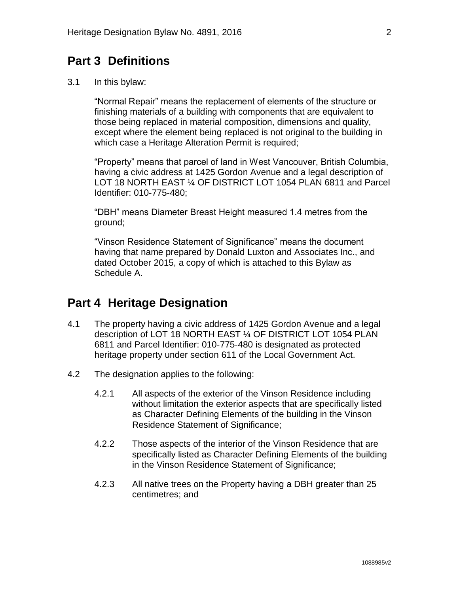### <span id="page-3-0"></span>**Part 3 Definitions**

3.1 In this bylaw:

"Normal Repair" means the replacement of elements of the structure or finishing materials of a building with components that are equivalent to those being replaced in material composition, dimensions and quality, except where the element being replaced is not original to the building in which case a Heritage Alteration Permit is required;

"Property" means that parcel of land in West Vancouver, British Columbia, having a civic address at 1425 Gordon Avenue and a legal description of LOT 18 NORTH EAST ¼ OF DISTRICT LOT 1054 PLAN 6811 and Parcel Identifier: 010-775-480;

"DBH" means Diameter Breast Height measured 1.4 metres from the ground;

"Vinson Residence Statement of Significance" means the document having that name prepared by Donald Luxton and Associates Inc., and dated October 2015, a copy of which is attached to this Bylaw as Schedule A.

#### <span id="page-3-1"></span>**Part 4 Heritage Designation**

- 4.1 The property having a civic address of 1425 Gordon Avenue and a legal description of LOT 18 NORTH EAST ¼ OF DISTRICT LOT 1054 PLAN 6811 and Parcel Identifier: 010-775-480 is designated as protected heritage property under section 611 of the Local Government Act.
- 4.2 The designation applies to the following:
	- 4.2.1 All aspects of the exterior of the Vinson Residence including without limitation the exterior aspects that are specifically listed as Character Defining Elements of the building in the Vinson Residence Statement of Significance;
	- 4.2.2 Those aspects of the interior of the Vinson Residence that are specifically listed as Character Defining Elements of the building in the Vinson Residence Statement of Significance;
	- 4.2.3 All native trees on the Property having a DBH greater than 25 centimetres; and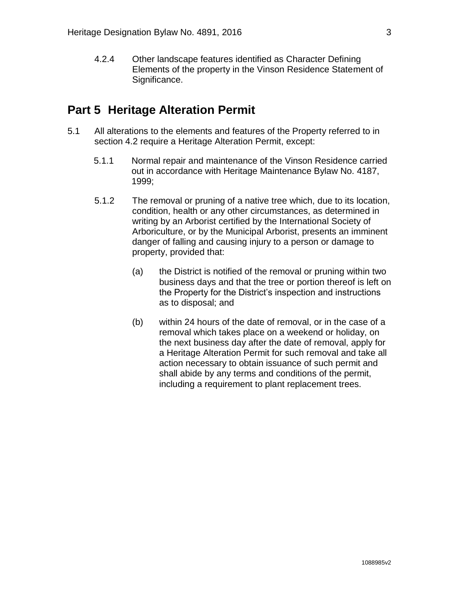4.2.4 Other landscape features identified as Character Defining Elements of the property in the Vinson Residence Statement of Significance.

#### <span id="page-4-0"></span>**Part 5 Heritage Alteration Permit**

- <span id="page-4-1"></span>5.1 All alterations to the elements and features of the Property referred to in section 4.2 require a Heritage Alteration Permit, except:
	- 5.1.1 Normal repair and maintenance of the Vinson Residence carried out in accordance with Heritage Maintenance Bylaw No. 4187, 1999;
	- 5.1.2 The removal or pruning of a native tree which, due to its location, condition, health or any other circumstances, as determined in writing by an Arborist certified by the International Society of Arboriculture, or by the Municipal Arborist, presents an imminent danger of falling and causing injury to a person or damage to property, provided that:
		- (a) the District is notified of the removal or pruning within two business days and that the tree or portion thereof is left on the Property for the District's inspection and instructions as to disposal; and
		- (b) within 24 hours of the date of removal, or in the case of a removal which takes place on a weekend or holiday, on the next business day after the date of removal, apply for a Heritage Alteration Permit for such removal and take all action necessary to obtain issuance of such permit and shall abide by any terms and conditions of the permit, including a requirement to plant replacement trees.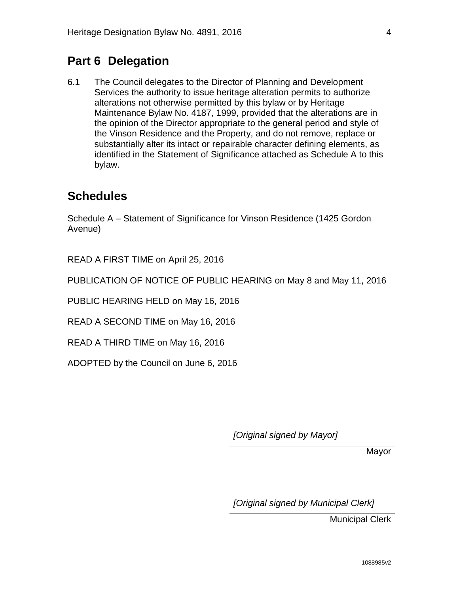## **Part 6 Delegation**

6.1 The Council delegates to the Director of Planning and Development Services the authority to issue heritage alteration permits to authorize alterations not otherwise permitted by this bylaw or by Heritage Maintenance Bylaw No. 4187, 1999, provided that the alterations are in the opinion of the Director appropriate to the general period and style of the Vinson Residence and the Property, and do not remove, replace or substantially alter its intact or repairable character defining elements, as identified in the Statement of Significance attached as Schedule A to this bylaw.

### **Schedules**

Schedule A – Statement of Significance for Vinson Residence (1425 Gordon Avenue)

READ A FIRST TIME on April 25, 2016

PUBLICATION OF NOTICE OF PUBLIC HEARING on May 8 and May 11, 2016

PUBLIC HEARING HELD on May 16, 2016

READ A SECOND TIME on May 16, 2016

READ A THIRD TIME on May 16, 2016

ADOPTED by the Council on June 6, 2016

*[Original signed by Mayor]*

Mayor

*[Original signed by Municipal Clerk]*

Municipal Clerk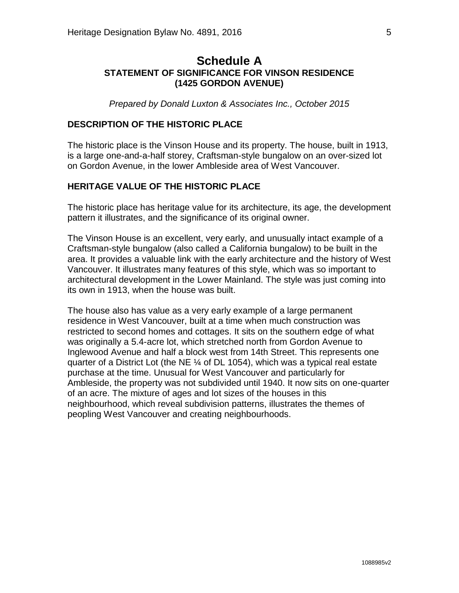#### <span id="page-6-0"></span>**Schedule A STATEMENT OF SIGNIFICANCE FOR VINSON RESIDENCE (1425 GORDON AVENUE)**

*Prepared by Donald Luxton & Associates Inc., October 2015*

#### **DESCRIPTION OF THE HISTORIC PLACE**

The historic place is the Vinson House and its property. The house, built in 1913, is a large one-and-a-half storey, Craftsman-style bungalow on an over-sized lot on Gordon Avenue, in the lower Ambleside area of West Vancouver.

#### **HERITAGE VALUE OF THE HISTORIC PLACE**

The historic place has heritage value for its architecture, its age, the development pattern it illustrates, and the significance of its original owner.

The Vinson House is an excellent, very early, and unusually intact example of a Craftsman-style bungalow (also called a California bungalow) to be built in the area. It provides a valuable link with the early architecture and the history of West Vancouver. It illustrates many features of this style, which was so important to architectural development in the Lower Mainland. The style was just coming into its own in 1913, when the house was built.

The house also has value as a very early example of a large permanent residence in West Vancouver, built at a time when much construction was restricted to second homes and cottages. It sits on the southern edge of what was originally a 5.4-acre lot, which stretched north from Gordon Avenue to Inglewood Avenue and half a block west from 14th Street. This represents one quarter of a District Lot (the NE ¼ of DL 1054), which was a typical real estate purchase at the time. Unusual for West Vancouver and particularly for Ambleside, the property was not subdivided until 1940. It now sits on one-quarter of an acre. The mixture of ages and lot sizes of the houses in this neighbourhood, which reveal subdivision patterns, illustrates the themes of peopling West Vancouver and creating neighbourhoods.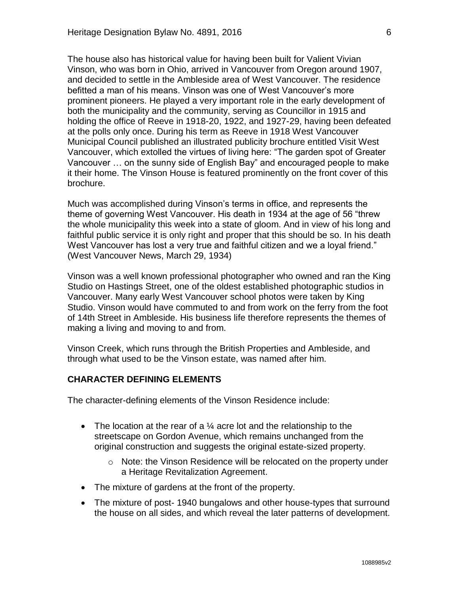The house also has historical value for having been built for Valient Vivian Vinson, who was born in Ohio, arrived in Vancouver from Oregon around 1907, and decided to settle in the Ambleside area of West Vancouver. The residence befitted a man of his means. Vinson was one of West Vancouver's more prominent pioneers. He played a very important role in the early development of both the municipality and the community, serving as Councillor in 1915 and holding the office of Reeve in 1918-20, 1922, and 1927-29, having been defeated at the polls only once. During his term as Reeve in 1918 West Vancouver Municipal Council published an illustrated publicity brochure entitled Visit West Vancouver, which extolled the virtues of living here: "The garden spot of Greater Vancouver … on the sunny side of English Bay" and encouraged people to make it their home. The Vinson House is featured prominently on the front cover of this brochure.

Much was accomplished during Vinson's terms in office, and represents the theme of governing West Vancouver. His death in 1934 at the age of 56 "threw the whole municipality this week into a state of gloom. And in view of his long and faithful public service it is only right and proper that this should be so. In his death West Vancouver has lost a very true and faithful citizen and we a loyal friend." (West Vancouver News, March 29, 1934)

Vinson was a well known professional photographer who owned and ran the King Studio on Hastings Street, one of the oldest established photographic studios in Vancouver. Many early West Vancouver school photos were taken by King Studio. Vinson would have commuted to and from work on the ferry from the foot of 14th Street in Ambleside. His business life therefore represents the themes of making a living and moving to and from.

Vinson Creek, which runs through the British Properties and Ambleside, and through what used to be the Vinson estate, was named after him.

#### **CHARACTER DEFINING ELEMENTS**

The character-defining elements of the Vinson Residence include:

- The location at the rear of a  $\frac{1}{4}$  acre lot and the relationship to the streetscape on Gordon Avenue, which remains unchanged from the original construction and suggests the original estate-sized property.
	- o Note: the Vinson Residence will be relocated on the property under a Heritage Revitalization Agreement.
- The mixture of gardens at the front of the property.
- The mixture of post-1940 bungalows and other house-types that surround the house on all sides, and which reveal the later patterns of development.